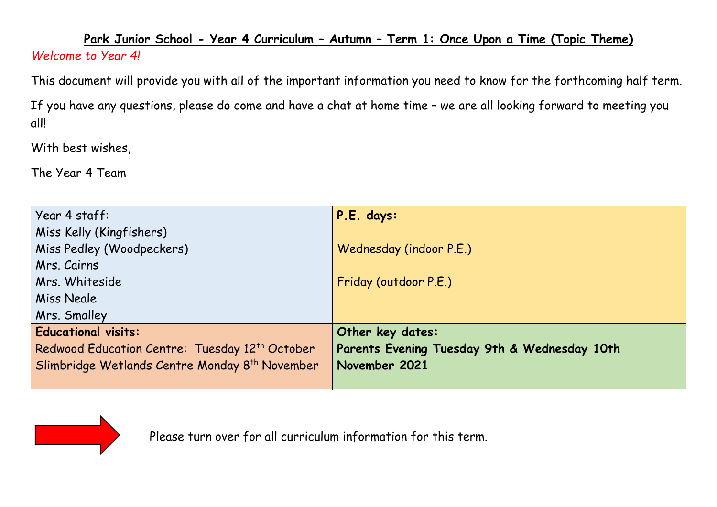## **Park Junior School - Year 4 Curriculum – Autumn – Term 1: Once Upon a Time (Topic Theme)**  *Welcome to Year 4!*

This document will provide you with all of the important information you need to know for the forthcoming half term.

If you have any questions, please do come and have a chat at home time – we are all looking forward to meeting you all!

With best wishes,

The Year 4 Team

| Year 4 staff:                                              | P.E. days:                                   |
|------------------------------------------------------------|----------------------------------------------|
| Miss Kelly (Kingfishers)                                   |                                              |
| Miss Pedley (Woodpeckers)                                  | Wednesday (indoor P.E.)                      |
| Mrs. Cairns                                                |                                              |
| Mrs. Whiteside                                             | Friday (outdoor P.E.)                        |
| Miss Neale                                                 |                                              |
| Mrs. Smalley                                               |                                              |
| <b>Educational visits:</b>                                 | Other key dates:                             |
| Redwood Education Centre: Tuesday 12 <sup>th</sup> October | Parents Evening Tuesday 9th & Wednesday 10th |
| Slimbridge Wetlands Centre Monday 8 <sup>th</sup> November | November 2021                                |
|                                                            |                                              |



Please turn over for all curriculum information for this term.